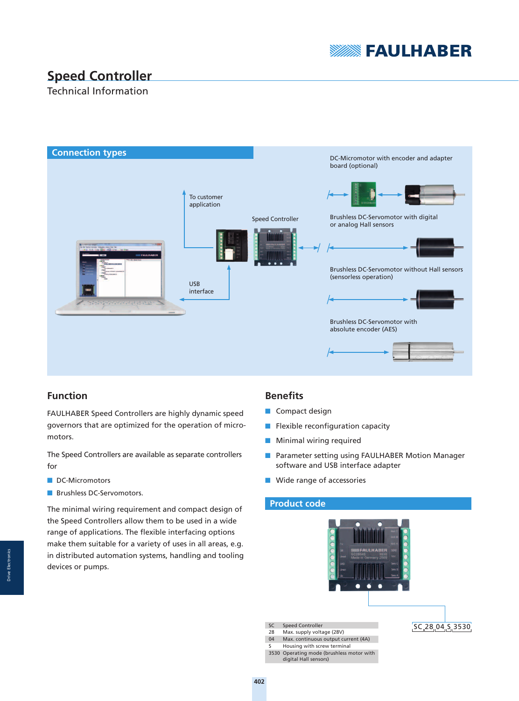

# **Speed Controller**

# Technical Information



# **Function**

FAULHABER Speed Controllers are highly dynamic speed governors that are optimized for the operation of micromotors.

The Speed Controllers are available as separate controllers for

- DC-Micromotors
- Brushless DC-Servomotors.

The minimal wiring requirement and compact design of the Speed Controllers allow them to be used in a wide range of applications. The flexible interfacing options make them suitable for a variety of uses in all areas, e.g. in distributed automation systems, handling and tooling devices or pumps.

## **Benefits**

- Compact design
- $\blacksquare$  Flexible reconfiguration capacity
- Minimal wiring required
- Parameter setting using FAULHABER Motion Manager software and USB interface adapter
- Wide range of accessories

## **Product code**



3530 Operating mode (brushless motor with digital Hall sensors)